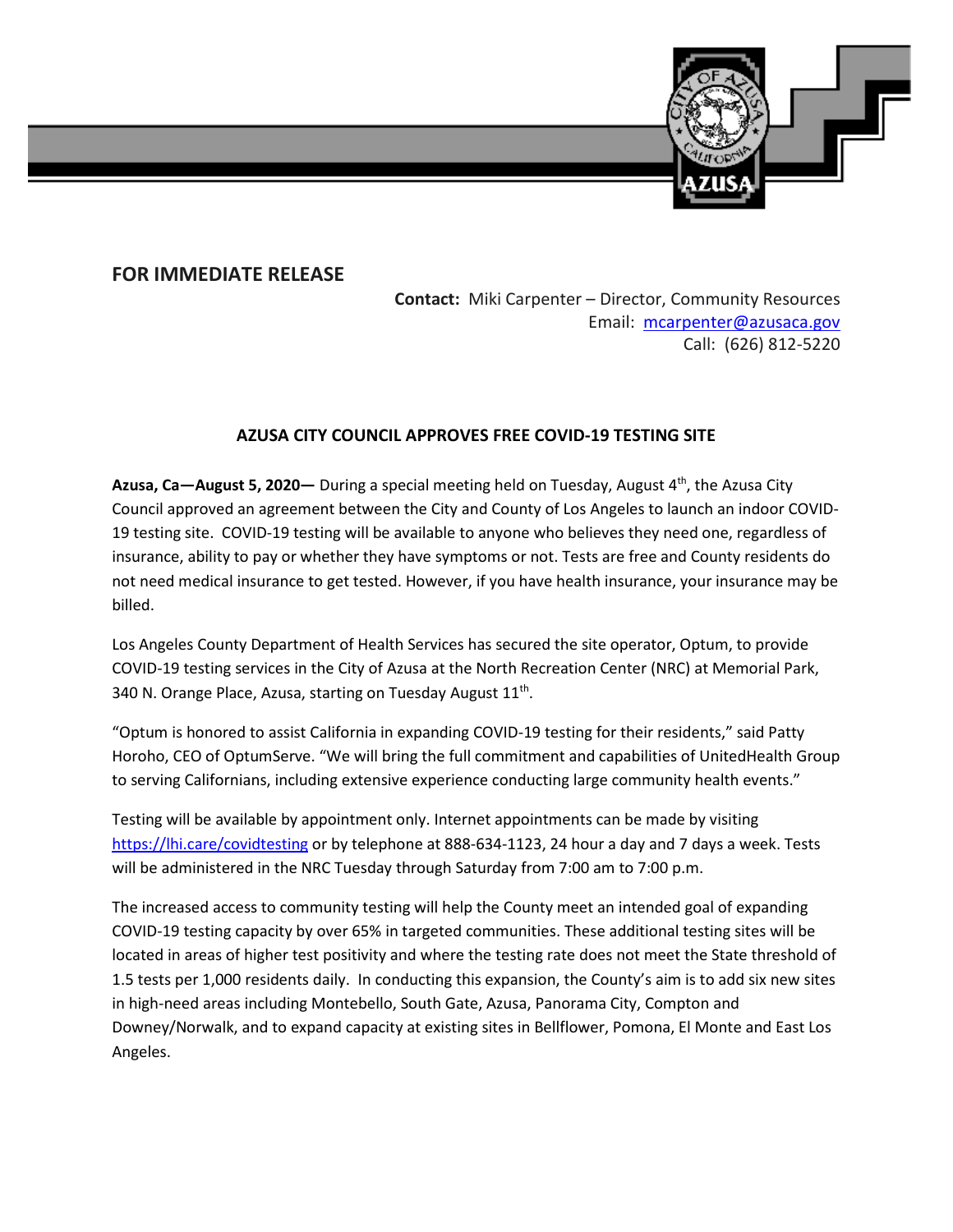

## **FOR IMMEDIATE RELEASE**

**Contact:** Miki Carpenter – Director, Community Resources Email: [mcarpenter@azusaca.gov](mailto:mcarpenter@azusaca.gov) Call: (626) 812-5220

## **AZUSA CITY COUNCIL APPROVES FREE COVID-19 TESTING SITE**

**Azusa, Ca—August 5, 2020—** During a special meeting held on Tuesday, August 4th, the Azusa City Council approved an agreement between the City and County of Los Angeles to launch an indoor COVID-19 testing site. COVID-19 testing will be available to anyone who believes they need one, regardless of insurance, ability to pay or whether they have symptoms or not. Tests are free and County residents do not need medical insurance to get tested. However, if you have health insurance, your insurance may be billed.

Los Angeles County Department of Health Services has secured the site operator, Optum, to provide COVID-19 testing services in the City of Azusa at the North Recreation Center (NRC) at Memorial Park, 340 N. Orange Place, Azusa, starting on Tuesday August 11<sup>th</sup>.

"Optum is honored to assist California in expanding COVID-19 testing for their residents," said Patty Horoho, CEO of OptumServe. "We will bring the full commitment and capabilities of UnitedHealth Group to serving Californians, including extensive experience conducting large community health events."

Testing will be available by appointment only. Internet appointments can be made by visiting <https://lhi.care/covidtesting> or by telephone at 888-634-1123, 24 hour a day and 7 days a week. Tests will be administered in the NRC Tuesday through Saturday from 7:00 am to 7:00 p.m.

The increased access to community testing will help the County meet an intended goal of expanding COVID-19 testing capacity by over 65% in targeted communities. These additional testing sites will be located in areas of higher test positivity and where the testing rate does not meet the State threshold of 1.5 tests per 1,000 residents daily. In conducting this expansion, the County's aim is to add six new sites in high-need areas including Montebello, South Gate, Azusa, Panorama City, Compton and Downey/Norwalk, and to expand capacity at existing sites in Bellflower, Pomona, El Monte and East Los Angeles.